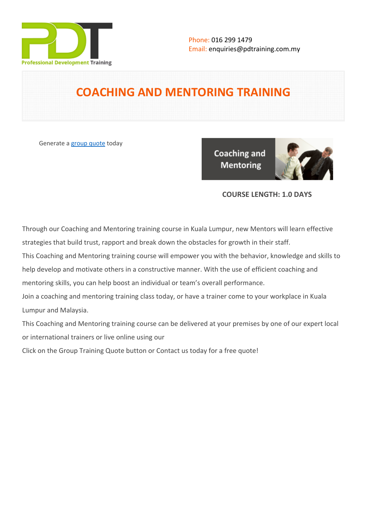

# **COACHING AND MENTORING TRAINING**

Generate a [group quote](https://pdtraining.com.my/inhouse-training-quote?cse=PDT0007) today

**Coaching and Mentoring** 



# **COURSE LENGTH: 1.0 DAYS**

Through our Coaching and Mentoring training course in Kuala Lumpur, new Mentors will learn effective strategies that build trust, rapport and break down the obstacles for growth in their staff.

This Coaching and Mentoring training course will empower you with the behavior, knowledge and skills to help develop and motivate others in a constructive manner. With the use of efficient coaching and mentoring skills, you can help boost an individual or team's overall performance.

Join a coaching and mentoring training class today, or have a trainer come to your workplace in Kuala Lumpur and Malaysia.

This Coaching and Mentoring training course can be delivered at your premises by one of our expert local or international trainers or live online using our

Click on the Group Training Quote button or Contact us today for a free quote!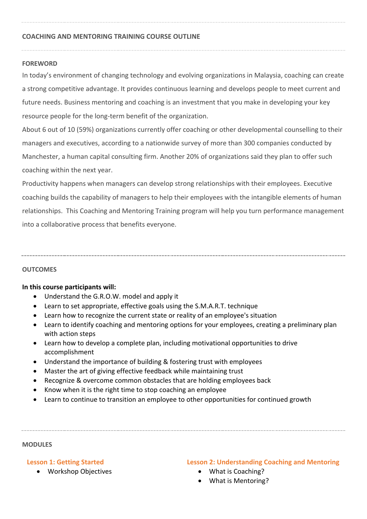#### **COACHING AND MENTORING TRAINING COURSE OUTLINE**

#### **FOREWORD**

In today's environment of changing technology and evolving organizations in Malaysia, coaching can create a strong competitive advantage. It provides continuous learning and develops people to meet current and future needs. Business mentoring and coaching is an investment that you make in developing your key resource people for the long-term benefit of the organization.

About 6 out of 10 (59%) organizations currently offer coaching or other developmental counselling to their managers and executives, according to a nationwide survey of more than 300 companies conducted by Manchester, a human capital consulting firm. Another 20% of organizations said they plan to offer such coaching within the next year.

Productivity happens when managers can develop strong relationships with their employees. Executive coaching builds the capability of managers to help their employees with the intangible elements of human relationships. This Coaching and Mentoring Training program will help you turn performance management into a collaborative process that benefits everyone.

#### **OUTCOMES**

#### **In this course participants will:**

- Understand the G.R.O.W. model and apply it
- Learn to set appropriate, effective goals using the S.M.A.R.T. technique
- Learn how to recognize the current state or reality of an employee's situation
- Learn to identify coaching and mentoring options for your employees, creating a preliminary plan with action steps
- Learn how to develop a complete plan, including motivational opportunities to drive accomplishment
- Understand the importance of building & fostering trust with employees
- Master the art of giving effective feedback while maintaining trust
- Recognize & overcome common obstacles that are holding employees back
- Know when it is the right time to stop coaching an employee
- Learn to continue to transition an employee to other opportunities for continued growth

#### **MODULES**

#### **Lesson 1: Getting Started**

Workshop Objectives

### **Lesson 2: Understanding Coaching and Mentoring**

- What is Coaching?
- What is Mentoring?